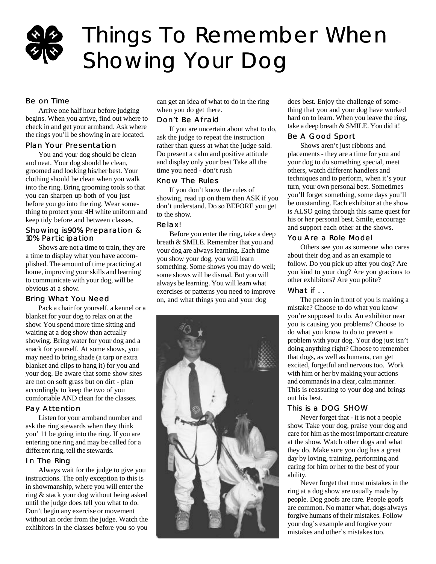## Things To Remember When Showing Your Dog

### Be on Time

Arrive one half hour before judging begins. When you arrive, find out where to check in and get your armband. Ask where the rings you'll be showing in are located.

#### Plan Your Presentation

You and your dog should be clean and neat. Your dog should be clean, groomed and looking his/her best. Your clothing should be clean when you walk into the ring. Bring grooming tools so that you can sharpen up both of you just before you go into the ring. Wear something to protect your 4H white uniform and keep tidy before and between classes.

#### Showing is90% Preparation & 10% Participation

Shows are not a time to train, they are a time to display what you have accomplished. The amount of time practicing at home, improving your skills and learning to communicate with your dog, will be obvious at a show.

### Bring What You Need

Pack a chair for yourself, a kennel or a blanket for your dog to relax on at the show. You spend more time sitting and waiting at a dog show than actually showing. Bring water for your dog and a snack for yourself. At some shows, you may need to bring shade (a tarp or extra blanket and clips to hang it) for you and your dog. Be aware that some show sites are not on soft grass but on dirt - plan accordingly to keep the two of you comfortable AND clean for the classes.

#### Pay Attention

Listen for your armband number and ask the ring stewards when they think you' 11 be going into the ring. If you are entering one ring and may be called for a different ring, tell the stewards.

#### In The Ring

Always wait for the judge to give you instructions. The only exception to this is in showmanship, where you will enter the ring & stack your dog without being asked until the judge does tell you what to do. Don't begin any exercise or movement without an order from the judge. Watch the exhibitors in the classes before you so you

can get an idea of what to do in the ring when you do get there.

#### Don't Be Afraid

If you are uncertain about what to do, ask the judge to repeat the instruction rather than guess at what the judge said. Do present a calm and positive attitude and display only your best Take all the time you need - don't rush

#### Know The Rules

If you don't know the rules of showing, read up on them then ASK if you don't understand. Do so BEFORE you get to the show.

#### Relax!

Before you enter the ring, take a deep breath & SMILE. Remember that you and your dog are always learning. Each time you show your dog, you will learn something. Some shows you may do well; some shows will be dismal. But you will always be learning. You will learn what exercises or patterns you need to improve on, and what things you and your dog



does best. Enjoy the challenge of something that you and your dog have worked hard on to learn. When you leave the ring, take a deep breath & SMILE. You did it!

#### Be A Good Sport

Shows aren't just ribbons and placements - they are a time for you and your dog to do something special, meet others, watch different handlers and techniques and to perform, when it's your turn, your own personal best. Sometimes you'll forget something, some days you'll be outstanding. Each exhibitor at the show is ALSO going through this same quest for his or her personal best. Smile, encourage and support each other at the shows.

### You Are a Role Model

Others see you as someone who cares about their dog and as an example to follow. Do you pick up after you dog? Are you kind to your dog? Are you gracious to other exhibitors? Are you polite?

#### What if ..

The person in front of you is making a mistake? Choose to do what you know you're supposed to do. An exhibitor near you is causing you problems? Choose to do what you know to do to prevent a problem with your dog. Your dog just isn't doing anything right? Choose to remember that dogs, as well as humans, can get excited, forgetful and nervous too. Work with him or her by making your actions and commands in a clear, calm manner. This is reassuring to your dog and brings out his best.

### This is a DOG SHOW

Never forget that - it is not a people show. Take your dog, praise your dog and care for him as the most important creature at the show. Watch other dogs and what they do. Make sure you dog has a great day by loving, training, performing and caring for him or her to the best of your ability.

Never forget that most mistakes in the ring at a dog show are usually made by people. Dog goofs are rare. People goofs are common. No matter what, dogs always forgive humans of their mistakes. Follow your dog's example and forgive your mistakes and other's mistakes too.